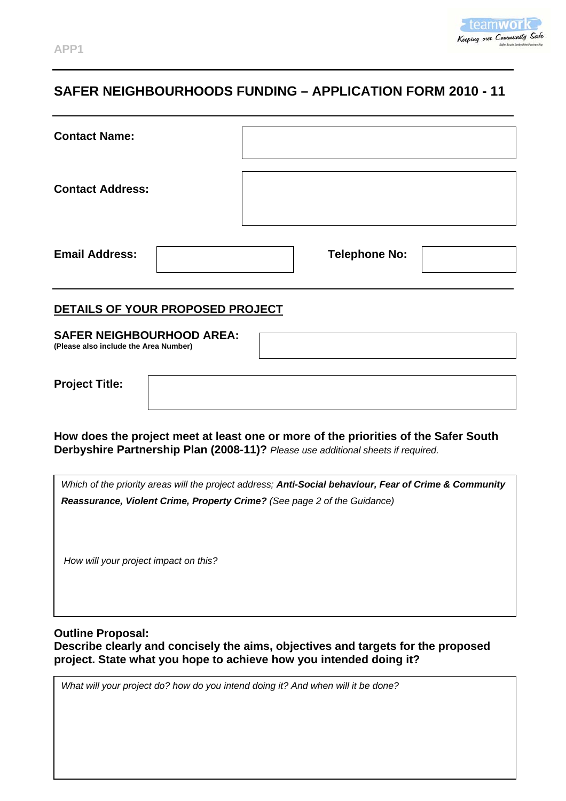

# **SAFER NEIGHBOURHOODS FUNDING – APPLICATION FORM 2010 - 11**

| <b>Contact Name:</b>    |  |                      |  |
|-------------------------|--|----------------------|--|
| <b>Contact Address:</b> |  |                      |  |
| <b>Email Address:</b>   |  | <b>Telephone No:</b> |  |

#### **DETAILS OF YOUR PROPOSED PROJECT**

| <b>SAFER NEIGHBOURHOOD AREA:</b>      |  |
|---------------------------------------|--|
| (Please also include the Area Number) |  |
|                                       |  |

| <b>Project Title:</b> |  |
|-----------------------|--|
|                       |  |

**How does the project meet at least one or more of the priorities of the Safer South Derbyshire Partnership Plan (2008-11)?** *Please use additional sheets if required.* 

*Which of the priority areas will the project address; Anti-Social behaviour, Fear of Crime & Community Reassurance, Violent Crime, Property Crime? (See page 2 of the Guidance)*

 *How will your project impact on this?* 

**Outline Proposal: Describe clearly and concisely the aims, objectives and targets for the proposed project. State what you hope to achieve how you intended doing it?** 

*What will your project do? how do you intend doing it? And when will it be done?*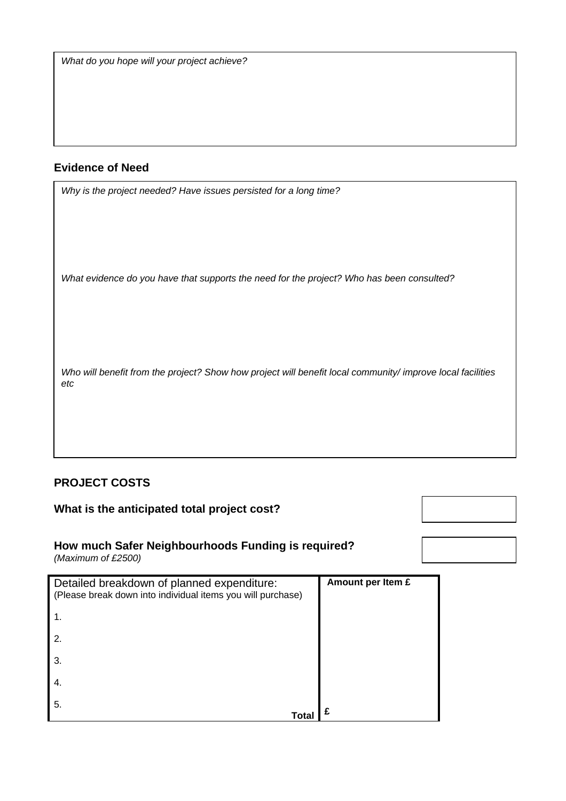*What do you hope will your project achieve?* 

### **Evidence of Need**

*Why is the project needed? Have issues persisted for a long time?* 

*What evidence do you have that supports the need for the project? Who has been consulted?* 

*Who will benefit from the project? Show how project will benefit local community/ improve local facilities etc* 

## **PROJECT COSTS**

### **What is the anticipated total project cost?**

# **How much Safer Neighbourhoods Funding is required?**

*(Maximum of £2500)* 

| Detailed breakdown of planned expenditure:<br>(Please break down into individual items you will purchase) | Amount per Item £ |
|-----------------------------------------------------------------------------------------------------------|-------------------|
| 1.                                                                                                        |                   |
| 2.                                                                                                        |                   |
| 3.                                                                                                        |                   |
| 4.                                                                                                        |                   |
| 5.                                                                                                        |                   |